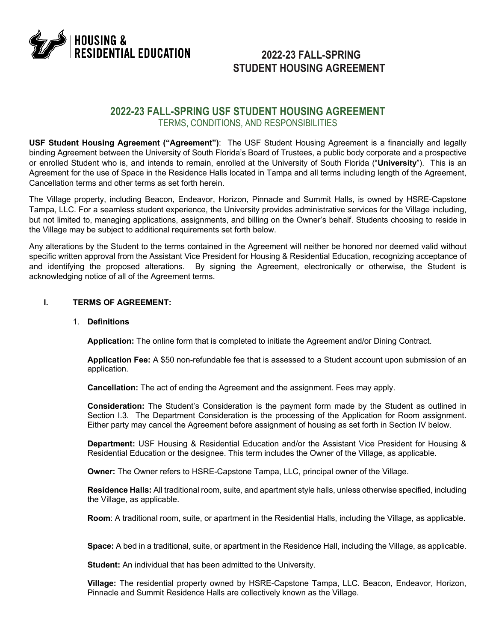

# **2022-23 FALL-SPRING STUDENT HOUSING AGREEMENT**

# **2022-23 FALL-SPRING USF STUDENT HOUSING AGREEMENT** TERMS, CONDITIONS, AND RESPONSIBILITIES

**USF Student Housing Agreement ("Agreement")**: The USF Student Housing Agreement is a financially and legally binding Agreement between the University of South Florida's Board of Trustees, a public body corporate and a prospective or enrolled Student who is, and intends to remain, enrolled at the University of South Florida ("**University**"). This is an Agreement for the use of Space in the Residence Halls located in Tampa and all terms including length of the Agreement, Cancellation terms and other terms as set forth herein.

The Village property, including Beacon, Endeavor, Horizon, Pinnacle and Summit Halls, is owned by HSRE-Capstone Tampa, LLC. For a seamless student experience, the University provides administrative services for the Village including, but not limited to, managing applications, assignments, and billing on the Owner's behalf. Students choosing to reside in the Village may be subject to additional requirements set forth below.

Any alterations by the Student to the terms contained in the Agreement will neither be honored nor deemed valid without specific written approval from the Assistant Vice President for Housing & Residential Education, recognizing acceptance of and identifying the proposed alterations. By signing the Agreement, electronically or otherwise, the Student is acknowledging notice of all of the Agreement terms.

# **I. TERMS OF AGREEMENT:**

# 1. **Definitions**

**Application:** The online form that is completed to initiate the Agreement and/or Dining Contract.

**Application Fee:** A \$50 non-refundable fee that is assessed to a Student account upon submission of an application.

**Cancellation:** The act of ending the Agreement and the assignment. Fees may apply.

**Consideration:** The Student's Consideration is the payment form made by the Student as outlined in Section I.3. The Department Consideration is the processing of the Application for Room assignment. Either party may cancel the Agreement before assignment of housing as set forth in Section IV below.

**Department:** USF Housing & Residential Education and/or the Assistant Vice President for Housing & Residential Education or the designee. This term includes the Owner of the Village, as applicable.

**Owner:** The Owner refers to HSRE-Capstone Tampa, LLC, principal owner of the Village.

**Residence Halls:** All traditional room, suite, and apartment style halls, unless otherwise specified, including the Village, as applicable.

**Room**: A traditional room, suite, or apartment in the Residential Halls, including the Village, as applicable.

**Space:** A bed in a traditional, suite, or apartment in the Residence Hall, including the Village, as applicable.

**Student:** An individual that has been admitted to the University.

**Village:** The residential property owned by HSRE-Capstone Tampa, LLC. Beacon, Endeavor, Horizon, Pinnacle and Summit Residence Halls are collectively known as the Village.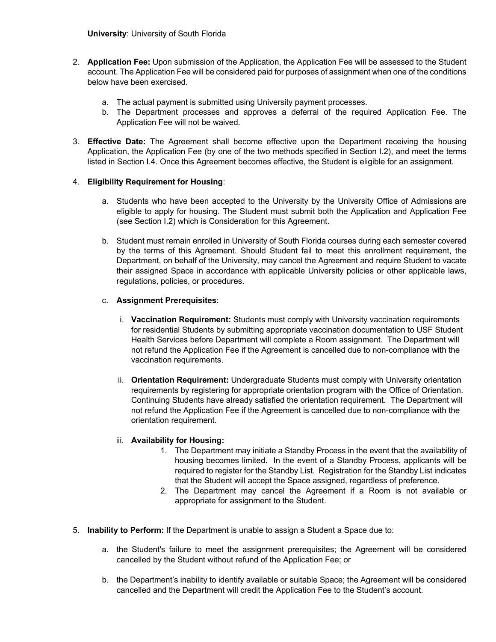- 2. **Application Fee:** Upon submission of the Application, the Application Fee will be assessed to the Student account. The Application Fee will be considered paid for purposes of assignment when one of the conditions below have been exercised.
	- a. The actual payment is submitted using University payment processes.
	- b. The Department processes and approves a deferral of the required Application Fee. The Application Fee will not be waived.
- 3. **Effective Date:** The Agreement shall become effective upon the Department receiving the housing Application, the Application Fee (by one of the two methods specified in Section I.2), and meet the terms listed in Section I.4. Once this Agreement becomes effective, the Student is eligible for an assignment.

# 4. **Eligibility Requirement for Housing**:

- a. Students who have been accepted to the University by the University Office of Admissions are eligible to apply for housing. The Student must submit both the Application and Application Fee (see Section I.2) which is Consideration for this Agreement.
- b. Student must remain enrolled in University of South Florida courses during each semester covered by the terms of this Agreement. Should Student fail to meet this enrollment requirement, the Department, on behalf of the University, may cancel the Agreement and require Student to vacate their assigned Space in accordance with applicable University policies or other applicable laws, regulations, policies, or procedures.

# c. **Assignment Prerequisites**:

- i. **Vaccination Requirement:** Students must comply with University vaccination requirements for residential Students by submitting appropriate vaccination documentation to USF Student Health Services before Department will complete a Room assignment. The Department will not refund the Application Fee if the Agreement is cancelled due to non-compliance with the vaccination requirements.
- ii. **Orientation Requirement:** Undergraduate Students must comply with University orientation requirements by registering for appropriate orientation program with the Office of Orientation. Continuing Students have already satisfied the orientation requirement. The Department will not refund the Application Fee if the Agreement is cancelled due to non-compliance with the orientation requirement.

# iii. **Availability for Housing:**

- 1. The Department may initiate a Standby Process in the event that the availability of housing becomes limited. In the event of a Standby Process, applicants will be required to register for the Standby List. Registration for the Standby List indicates that the Student will accept the Space assigned, regardless of preference.
- 2. The Department may cancel the Agreement if a Room is not available or appropriate for assignment to the Student.
- 5. **Inability to Perform:** If the Department is unable to assign a Student a Space due to:
	- a. the Student's failure to meet the assignment prerequisites; the Agreement will be considered cancelled by the Student without refund of the Application Fee; or
	- b. the Department's inability to identify available or suitable Space; the Agreement will be considered cancelled and the Department will credit the Application Fee to the Student's account.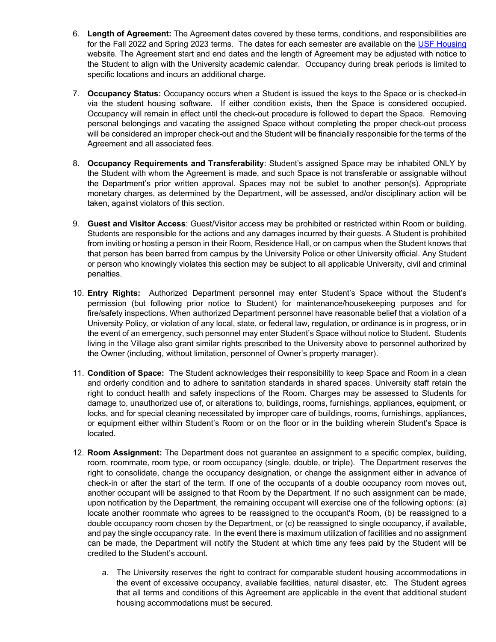- 6. **Length of Agreement:** The Agreement dates covered by these terms, conditions, and responsibilities are for the Fall 2022 and Spring 2023 terms. The dates for each semester are available on the USF Housing website. The Agreement start and end dates and the length of Agreement may be adjusted with notice to the Student to align with the University academic calendar. Occupancy during break periods is limited to specific locations and incurs an additional charge.
- 7. **Occupancy Status:** Occupancy occurs when a Student is issued the keys to the Space or is checked-in via the student housing software. If either condition exists, then the Space is considered occupied. Occupancy will remain in effect until the check-out procedure is followed to depart the Space. Removing personal belongings and vacating the assigned Space without completing the proper check-out process will be considered an improper check-out and the Student will be financially responsible for the terms of the Agreement and all associated fees.
- 8. **Occupancy Requirements and Transferability**: Student's assigned Space may be inhabited ONLY by the Student with whom the Agreement is made, and such Space is not transferable or assignable without the Department's prior written approval. Spaces may not be sublet to another person(s). Appropriate monetary charges, as determined by the Department, will be assessed, and/or disciplinary action will be taken, against violators of this section.
- 9. **Guest and Visitor Access**: Guest/Visitor access may be prohibited or restricted within Room or building. Students are responsible for the actions and any damages incurred by their guests. A Student is prohibited from inviting or hosting a person in their Room, Residence Hall, or on campus when the Student knows that that person has been barred from campus by the University Police or other University official. Any Student or person who knowingly violates this section may be subject to all applicable University, civil and criminal penalties.
- 10. **Entry Rights:** Authorized Department personnel may enter Student's Space without the Student's permission (but following prior notice to Student) for maintenance/housekeeping purposes and for fire/safety inspections. When authorized Department personnel have reasonable belief that a violation of a University Policy, or violation of any local, state, or federal law, regulation, or ordinance is in progress, or in the event of an emergency, such personnel may enter Student's Space without notice to Student. Students living in the Village also grant similar rights prescribed to the University above to personnel authorized by the Owner (including, without limitation, personnel of Owner's property manager).
- 11. **Condition of Space:** The Student acknowledges their responsibility to keep Space and Room in a clean and orderly condition and to adhere to sanitation standards in shared spaces. University staff retain the right to conduct health and safety inspections of the Room. Charges may be assessed to Students for damage to, unauthorized use of, or alterations to, buildings, rooms, furnishings, appliances, equipment, or locks, and for special cleaning necessitated by improper care of buildings, rooms, furnishings, appliances, or equipment either within Student's Room or on the floor or in the building wherein Student's Space is located.
- 12. **Room Assignment:** The Department does not guarantee an assignment to a specific complex, building, room, roommate, room type, or room occupancy (single, double, or triple). The Department reserves the right to consolidate, change the occupancy designation, or change the assignment either in advance of check-in or after the start of the term. If one of the occupants of a double occupancy room moves out, another occupant will be assigned to that Room by the Department. If no such assignment can be made, upon notification by the Department, the remaining occupant will exercise one of the following options: (a) locate another roommate who agrees to be reassigned to the occupant's Room, (b) be reassigned to a double occupancy room chosen by the Department, or (c) be reassigned to single occupancy, if available, and pay the single occupancy rate. In the event there is maximum utilization of facilities and no assignment can be made, the Department will notify the Student at which time any fees paid by the Student will be credited to the Student's account.
	- a. The University reserves the right to contract for comparable student housing accommodations in the event of excessive occupancy, available facilities, natural disaster, etc. The Student agrees that all terms and conditions of this Agreement are applicable in the event that additional student housing accommodations must be secured.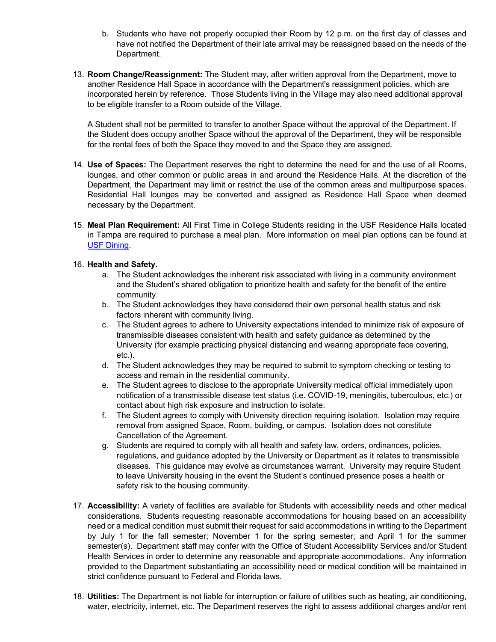- b. Students who have not properly occupied their Room by 12 p.m. on the first day of classes and have not notified the Department of their late arrival may be reassigned based on the needs of the Department.
- 13. **Room Change/Reassignment:** The Student may, after written approval from the Department, move to another Residence Hall Space in accordance with the Department's reassignment policies, which are incorporated herein by reference. Those Students living in the Village may also need additional approval to be eligible transfer to a Room outside of the Village.

A Student shall not be permitted to transfer to another Space without the approval of the Department. If the Student does occupy another Space without the approval of the Department, they will be responsible for the rental fees of both the Space they moved to and the Space they are assigned.

- 14. **Use of Spaces:** The Department reserves the right to determine the need for and the use of all Rooms, lounges, and other common or public areas in and around the Residence Halls. At the discretion of the Department, the Department may limit or restrict the use of the common areas and multipurpose spaces. Residential Hall lounges may be converted and assigned as Residence Hall Space when deemed necessary by the Department.
- 15. **Meal Plan Requirement:** All First Time in College Students residing in the USF Residence Halls located in Tampa are required to purchase a meal plan. More information on meal plan options can be found at USF Dining.

# 16. **Health and Safety.**

- a. The Student acknowledges the inherent risk associated with living in a community environment and the Student's shared obligation to prioritize health and safety for the benefit of the entire community.
- b. The Student acknowledges they have considered their own personal health status and risk factors inherent with community living.
- c. The Student agrees to adhere to University expectations intended to minimize risk of exposure of transmissible diseases consistent with health and safety guidance as determined by the University (for example practicing physical distancing and wearing appropriate face covering, etc.).
- d. The Student acknowledges they may be required to submit to symptom checking or testing to access and remain in the residential community.
- e. The Student agrees to disclose to the appropriate University medical official immediately upon notification of a transmissible disease test status (i.e. COVID-19, meningitis, tuberculous, etc.) or contact about high risk exposure and instruction to isolate.
- f. The Student agrees to comply with University direction requiring isolation. Isolation may require removal from assigned Space, Room, building, or campus. Isolation does not constitute Cancellation of the Agreement.
- g. Students are required to comply with all health and safety law, orders, ordinances, policies, regulations, and guidance adopted by the University or Department as it relates to transmissible diseases. This guidance may evolve as circumstances warrant. University may require Student to leave University housing in the event the Student's continued presence poses a health or safety risk to the housing community.
- 17. **Accessibility:** A variety of facilities are available for Students with accessibility needs and other medical considerations. Students requesting reasonable accommodations for housing based on an accessibility need or a medical condition must submit their request for said accommodations in writing to the Department by July 1 for the fall semester; November 1 for the spring semester; and April 1 for the summer semester(s). Department staff may confer with the Office of Student Accessibility Services and/or Student Health Services in order to determine any reasonable and appropriate accommodations. Any information provided to the Department substantiating an accessibility need or medical condition will be maintained in strict confidence pursuant to Federal and Florida laws.
- 18. **Utilities:** The Department is not liable for interruption or failure of utilities such as heating, air conditioning, water, electricity, internet, etc. The Department reserves the right to assess additional charges and/or rent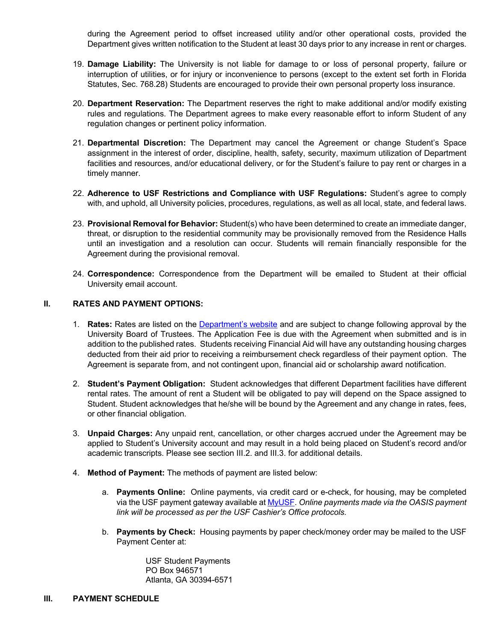during the Agreement period to offset increased utility and/or other operational costs, provided the Department gives written notification to the Student at least 30 days prior to any increase in rent or charges.

- 19. **Damage Liability:** The University is not liable for damage to or loss of personal property, failure or interruption of utilities, or for injury or inconvenience to persons (except to the extent set forth in Florida Statutes, Sec. 768.28) Students are encouraged to provide their own personal property loss insurance.
- 20. **Department Reservation:** The Department reserves the right to make additional and/or modify existing rules and regulations. The Department agrees to make every reasonable effort to inform Student of any regulation changes or pertinent policy information.
- 21. **Departmental Discretion:** The Department may cancel the Agreement or change Student's Space assignment in the interest of order, discipline, health, safety, security, maximum utilization of Department facilities and resources, and/or educational delivery, or for the Student's failure to pay rent or charges in a timely manner.
- 22. **Adherence to USF Restrictions and Compliance with USF Regulations:** Student's agree to comply with, and uphold, all University policies, procedures, regulations, as well as all local, state, and federal laws.
- 23. **Provisional Removal for Behavior:** Student(s) who have been determined to create an immediate danger, threat, or disruption to the residential community may be provisionally removed from the Residence Halls until an investigation and a resolution can occur. Students will remain financially responsible for the Agreement during the provisional removal.
- 24. **Correspondence:** Correspondence from the Department will be emailed to Student at their official University email account.

# **II. RATES AND PAYMENT OPTIONS:**

- 1. **Rates:** Rates are listed on the Department's website and are subject to change following approval by the University Board of Trustees. The Application Fee is due with the Agreement when submitted and is in addition to the published rates. Students receiving Financial Aid will have any outstanding housing charges deducted from their aid prior to receiving a reimbursement check regardless of their payment option. The Agreement is separate from, and not contingent upon, financial aid or scholarship award notification.
- 2. **Student's Payment Obligation:** Student acknowledges that different Department facilities have different rental rates. The amount of rent a Student will be obligated to pay will depend on the Space assigned to Student. Student acknowledges that he/she will be bound by the Agreement and any change in rates, fees, or other financial obligation.
- 3. **Unpaid Charges:** Any unpaid rent, cancellation, or other charges accrued under the Agreement may be applied to Student's University account and may result in a hold being placed on Student's record and/or academic transcripts. Please see section III.2. and III.3. for additional details.
- 4. **Method of Payment:** The methods of payment are listed below:
	- a. **Payments Online:** Online payments, via credit card or e-check, for housing, may be completed via the USF payment gateway available at MyUSF. *Online payments made via the OASIS payment link will be processed as per the USF Cashier's Office protocols.*
	- b. **Payments by Check:** Housing payments by paper check/money order may be mailed to the USF Payment Center at:

USF Student Payments PO Box 946571 Atlanta, GA 30394-6571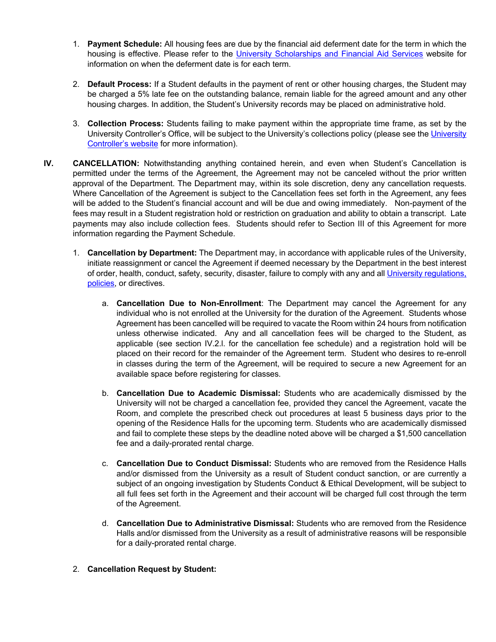- 1. **Payment Schedule:** All housing fees are due by the financial aid deferment date for the term in which the housing is effective. Please refer to the University Scholarships and Financial Aid Services website for information on when the deferment date is for each term.
- 2. **Default Process:** If a Student defaults in the payment of rent or other housing charges, the Student may be charged a 5% late fee on the outstanding balance, remain liable for the agreed amount and any other housing charges. In addition, the Student's University records may be placed on administrative hold.
- 3. **Collection Process:** Students failing to make payment within the appropriate time frame, as set by the University Controller's Office, will be subject to the University's collections policy (please see the University Controller's website for more information).
- **IV. CANCELLATION:** Notwithstanding anything contained herein, and even when Student's Cancellation is permitted under the terms of the Agreement, the Agreement may not be canceled without the prior written approval of the Department. The Department may, within its sole discretion, deny any cancellation requests. Where Cancellation of the Agreement is subject to the Cancellation fees set forth in the Agreement, any fees will be added to the Student's financial account and will be due and owing immediately. Non-payment of the fees may result in a Student registration hold or restriction on graduation and ability to obtain a transcript. Late payments may also include collection fees. Students should refer to Section III of this Agreement for more information regarding the Payment Schedule.
	- 1. **Cancellation by Department:** The Department may, in accordance with applicable rules of the University, initiate reassignment or cancel the Agreement if deemed necessary by the Department in the best interest of order, health, conduct, safety, security, disaster, failure to comply with any and all University regulations, policies, or directives.
		- a. **Cancellation Due to Non-Enrollment**: The Department may cancel the Agreement for any individual who is not enrolled at the University for the duration of the Agreement. Students whose Agreement has been cancelled will be required to vacate the Room within 24 hours from notification unless otherwise indicated. Any and all cancellation fees will be charged to the Student, as applicable (see section IV.2.l. for the cancellation fee schedule) and a registration hold will be placed on their record for the remainder of the Agreement term. Student who desires to re-enroll in classes during the term of the Agreement, will be required to secure a new Agreement for an available space before registering for classes.
		- b. **Cancellation Due to Academic Dismissal:** Students who are academically dismissed by the University will not be charged a cancellation fee, provided they cancel the Agreement, vacate the Room, and complete the prescribed check out procedures at least 5 business days prior to the opening of the Residence Halls for the upcoming term. Students who are academically dismissed and fail to complete these steps by the deadline noted above will be charged a \$1,500 cancellation fee and a daily-prorated rental charge.
		- c. **Cancellation Due to Conduct Dismissal:** Students who are removed from the Residence Halls and/or dismissed from the University as a result of Student conduct sanction, or are currently a subject of an ongoing investigation by Students Conduct & Ethical Development, will be subject to all full fees set forth in the Agreement and their account will be charged full cost through the term of the Agreement.
		- d. **Cancellation Due to Administrative Dismissal:** Students who are removed from the Residence Halls and/or dismissed from the University as a result of administrative reasons will be responsible for a daily-prorated rental charge.
	- 2. **Cancellation Request by Student:**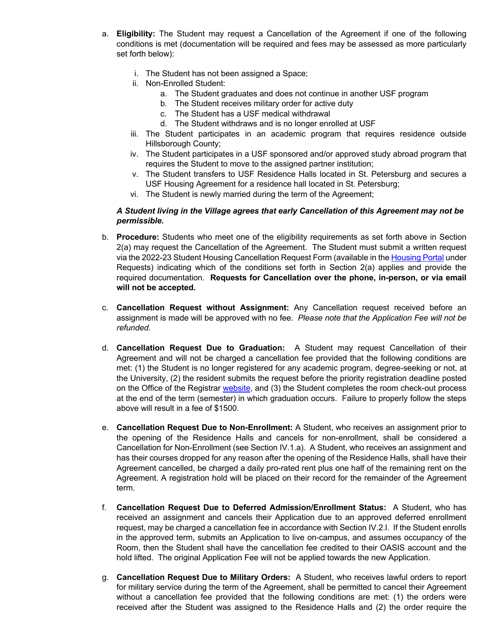- a. **Eligibility:** The Student may request a Cancellation of the Agreement if one of the following conditions is met (documentation will be required and fees may be assessed as more particularly set forth below):
	- i. The Student has not been assigned a Space;
	- ii. Non-Enrolled Student:
		- a. The Student graduates and does not continue in another USF program
		- b. The Student receives military order for active duty
		- c. The Student has a USF medical withdrawal
		- d. The Student withdraws and is no longer enrolled at USF
	- iii. The Student participates in an academic program that requires residence outside Hillsborough County;
	- iv. The Student participates in a USF sponsored and/or approved study abroad program that requires the Student to move to the assigned partner institution;
	- v. The Student transfers to USF Residence Halls located in St. Petersburg and secures a USF Housing Agreement for a residence hall located in St. Petersburg;
	- vi. The Student is newly married during the term of the Agreement;

# *A Student living in the Village agrees that early Cancellation of this Agreement may not be permissible.*

- b. **Procedure:** Students who meet one of the eligibility requirements as set forth above in Section 2(a) may request the Cancellation of the Agreement. The Student must submit a written request via the 2022-23 Student Housing Cancellation Request Form (available in the Housing Portal under Requests) indicating which of the conditions set forth in Section 2(a) applies and provide the required documentation. **Requests for Cancellation over the phone, in-person, or via email will not be accepted.**
- c. **Cancellation Request without Assignment:** Any Cancellation request received before an assignment is made will be approved with no fee. *Please note that the Application Fee will not be refunded.*
- d. **Cancellation Request Due to Graduation:** A Student may request Cancellation of their Agreement and will not be charged a cancellation fee provided that the following conditions are met: (1) the Student is no longer registered for any academic program, degree-seeking or not, at the University, (2) the resident submits the request before the priority registration deadline posted on the Office of the Registrar website, and (3) the Student completes the room check-out process at the end of the term (semester) in which graduation occurs. Failure to properly follow the steps above will result in a fee of \$1500.
- e. **Cancellation Request Due to Non-Enrollment:** A Student, who receives an assignment prior to the opening of the Residence Halls and cancels for non-enrollment, shall be considered a Cancellation for Non-Enrollment (see Section IV.1.a). A Student, who receives an assignment and has their courses dropped for any reason after the opening of the Residence Halls, shall have their Agreement cancelled, be charged a daily pro-rated rent plus one half of the remaining rent on the Agreement. A registration hold will be placed on their record for the remainder of the Agreement term.
- f. **Cancellation Request Due to Deferred Admission/Enrollment Status:** A Student, who has received an assignment and cancels their Application due to an approved deferred enrollment request, may be charged a cancellation fee in accordance with Section IV.2.l. If the Student enrolls in the approved term, submits an Application to live on-campus, and assumes occupancy of the Room, then the Student shall have the cancellation fee credited to their OASIS account and the hold lifted. The original Application Fee will not be applied towards the new Application.
- g. **Cancellation Request Due to Military Orders:** A Student, who receives lawful orders to report for military service during the term of the Agreement, shall be permitted to cancel their Agreement without a cancellation fee provided that the following conditions are met: (1) the orders were received after the Student was assigned to the Residence Halls and (2) the order require the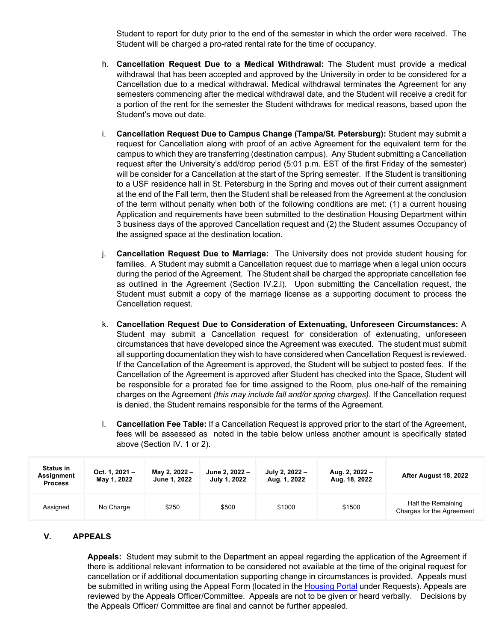Student to report for duty prior to the end of the semester in which the order were received. The Student will be charged a pro-rated rental rate for the time of occupancy.

- h. **Cancellation Request Due to a Medical Withdrawal:** The Student must provide a medical withdrawal that has been accepted and approved by the University in order to be considered for a Cancellation due to a medical withdrawal. Medical withdrawal terminates the Agreement for any semesters commencing after the medical withdrawal date, and the Student will receive a credit for a portion of the rent for the semester the Student withdraws for medical reasons, based upon the Student's move out date.
- i. **Cancellation Request Due to Campus Change (Tampa/St. Petersburg):** Student may submit a request for Cancellation along with proof of an active Agreement for the equivalent term for the campus to which they are transferring (destination campus). Any Student submitting a Cancellation request after the University's add/drop period (5:01 p.m. EST of the first Friday of the semester) will be consider for a Cancellation at the start of the Spring semester. If the Student is transitioning to a USF residence hall in St. Petersburg in the Spring and moves out of their current assignment at the end of the Fall term, then the Student shall be released from the Agreement at the conclusion of the term without penalty when both of the following conditions are met: (1) a current housing Application and requirements have been submitted to the destination Housing Department within 3 business days of the approved Cancellation request and (2) the Student assumes Occupancy of the assigned space at the destination location.
- j. **Cancellation Request Due to Marriage:** The University does not provide student housing for families. A Student may submit a Cancellation request due to marriage when a legal union occurs during the period of the Agreement. The Student shall be charged the appropriate cancellation fee as outlined in the Agreement (Section IV.2.l). Upon submitting the Cancellation request, the Student must submit a copy of the marriage license as a supporting document to process the Cancellation request.
- k. **Cancellation Request Due to Consideration of Extenuating, Unforeseen Circumstances:** A Student may submit a Cancellation request for consideration of extenuating, unforeseen circumstances that have developed since the Agreement was executed. The student must submit all supporting documentation they wish to have considered when Cancellation Request is reviewed. If the Cancellation of the Agreement is approved, the Student will be subject to posted fees. If the Cancellation of the Agreement is approved after Student has checked into the Space, Student will be responsible for a prorated fee for time assigned to the Room, plus one-half of the remaining charges on the Agreement *(this may include fall and/or spring charges)*. If the Cancellation request is denied, the Student remains responsible for the terms of the Agreement.
- l. **Cancellation Fee Table:** If a Cancellation Request is approved prior to the start of the Agreement, fees will be assessed as noted in the table below unless another amount is specifically stated above (Section IV. 1 or 2).

| <b>Status in</b><br>Assignment<br><b>Process</b> | Oct. 1, $2021 -$<br>May 1, 2022 | May 2, 2022 -<br><b>June 1, 2022</b> | June 2, 2022 –<br>July 1, 2022 | July 2, 2022 -<br>Aug. 1, 2022 | Aug. 2, 2022 –<br>Aug. 18, 2022 | After August 18, 2022                           |
|--------------------------------------------------|---------------------------------|--------------------------------------|--------------------------------|--------------------------------|---------------------------------|-------------------------------------------------|
| Assigned                                         | No Charge                       | \$250                                | \$500                          | \$1000                         | \$1500                          | Half the Remaining<br>Charges for the Agreement |

# **V. APPEALS**

**Appeals:** Student may submit to the Department an appeal regarding the application of the Agreement if there is additional relevant information to be considered not available at the time of the original request for cancellation or if additional documentation supporting change in circumstances is provided. Appeals must be submitted in writing using the Appeal Form (located in the Housing Portal under Requests). Appeals are reviewed by the Appeals Officer/Committee. Appeals are not to be given or heard verbally. Decisions by the Appeals Officer/ Committee are final and cannot be further appealed.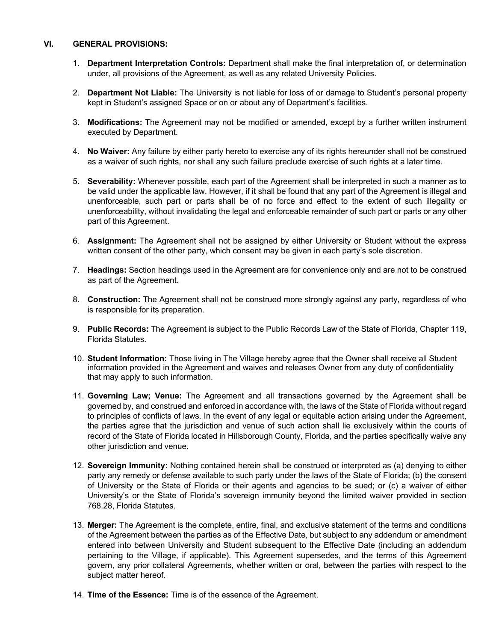## **VI. GENERAL PROVISIONS:**

- 1. **Department Interpretation Controls:** Department shall make the final interpretation of, or determination under, all provisions of the Agreement, as well as any related University Policies.
- 2. **Department Not Liable:** The University is not liable for loss of or damage to Student's personal property kept in Student's assigned Space or on or about any of Department's facilities.
- 3. **Modifications:** The Agreement may not be modified or amended, except by a further written instrument executed by Department.
- 4. **No Waiver:** Any failure by either party hereto to exercise any of its rights hereunder shall not be construed as a waiver of such rights, nor shall any such failure preclude exercise of such rights at a later time.
- 5. **Severability:** Whenever possible, each part of the Agreement shall be interpreted in such a manner as to be valid under the applicable law. However, if it shall be found that any part of the Agreement is illegal and unenforceable, such part or parts shall be of no force and effect to the extent of such illegality or unenforceability, without invalidating the legal and enforceable remainder of such part or parts or any other part of this Agreement.
- 6. **Assignment:** The Agreement shall not be assigned by either University or Student without the express written consent of the other party, which consent may be given in each party's sole discretion.
- 7. **Headings:** Section headings used in the Agreement are for convenience only and are not to be construed as part of the Agreement.
- 8. **Construction:** The Agreement shall not be construed more strongly against any party, regardless of who is responsible for its preparation.
- 9. **Public Records:** The Agreement is subject to the Public Records Law of the State of Florida, Chapter 119, Florida Statutes.
- 10. **Student Information:** Those living in The Village hereby agree that the Owner shall receive all Student information provided in the Agreement and waives and releases Owner from any duty of confidentiality that may apply to such information.
- 11. **Governing Law; Venue:** The Agreement and all transactions governed by the Agreement shall be governed by, and construed and enforced in accordance with, the laws of the State of Florida without regard to principles of conflicts of laws. In the event of any legal or equitable action arising under the Agreement, the parties agree that the jurisdiction and venue of such action shall lie exclusively within the courts of record of the State of Florida located in Hillsborough County, Florida, and the parties specifically waive any other jurisdiction and venue.
- 12. **Sovereign Immunity:** Nothing contained herein shall be construed or interpreted as (a) denying to either party any remedy or defense available to such party under the laws of the State of Florida; (b) the consent of University or the State of Florida or their agents and agencies to be sued; or (c) a waiver of either University's or the State of Florida's sovereign immunity beyond the limited waiver provided in section 768.28, Florida Statutes.
- 13. **Merger:** The Agreement is the complete, entire, final, and exclusive statement of the terms and conditions of the Agreement between the parties as of the Effective Date, but subject to any addendum or amendment entered into between University and Student subsequent to the Effective Date (including an addendum pertaining to the Village, if applicable). This Agreement supersedes, and the terms of this Agreement govern, any prior collateral Agreements, whether written or oral, between the parties with respect to the subject matter hereof.
- 14. **Time of the Essence:** Time is of the essence of the Agreement.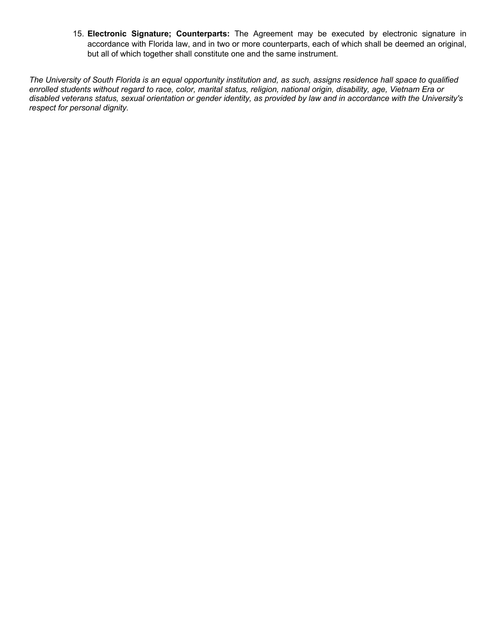15. **Electronic Signature; Counterparts:** The Agreement may be executed by electronic signature in accordance with Florida law, and in two or more counterparts, each of which shall be deemed an original, but all of which together shall constitute one and the same instrument.

*The University of South Florida is an equal opportunity institution and, as such, assigns residence hall space to qualified enrolled students without regard to race, color, marital status, religion, national origin, disability, age, Vietnam Era or disabled veterans status, sexual orientation or gender identity, as provided by law and in accordance with the University's respect for personal dignity.*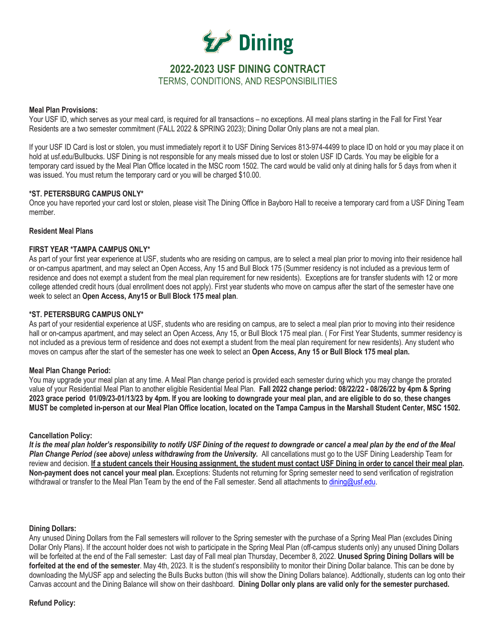

# **2022-2023 USF DINING CONTRACT** TERMS, CONDITIONS, AND RESPONSIBILITIES

## **Meal Plan Provisions:**

Your USF ID, which serves as your meal card, is required for all transactions – no exceptions. All meal plans starting in the Fall for First Year Residents are a two semester commitment (FALL 2022 & SPRING 2023); Dining Dollar Only plans are not a meal plan.

If your USF ID Card is lost or stolen, you must immediately report it to USF Dining Services 813-974-4499 to place ID on hold or you may place it on hold at usf.edu/Bullbucks. USF Dining is not responsible for any meals missed due to lost or stolen USF ID Cards. You may be eligible for a temporary card issued by the Meal Plan Office located in the MSC room 1502. The card would be valid only at dining halls for 5 days from when it was issued. You must return the temporary card or you will be charged \$10.00.

## **\*ST. PETERSBURG CAMPUS ONLY\***

Once you have reported your card lost or stolen, please visit The Dining Office in Bayboro Hall to receive a temporary card from a USF Dining Team member.

## **Resident Meal Plans**

## **FIRST YEAR \*TAMPA CAMPUS ONLY\***

As part of your first year experience at USF, students who are residing on campus, are to select a meal plan prior to moving into their residence hall or on-campus apartment, and may select an Open Access, Any 15 and Bull Block 175 (Summer residency is not included as a previous term of residence and does not exempt a student from the meal plan requirement for new residents). Exceptions are for transfer students with 12 or more college attended credit hours (dual enrollment does not apply). First year students who move on campus after the start of the semester have one week to select an **Open Access, Any15 or Bull Block 175 meal plan**.

## **\*ST. PETERSBURG CAMPUS ONLY\***

As part of your residential experience at USF, students who are residing on campus, are to select a meal plan prior to moving into their residence hall or on-campus apartment, and may select an Open Access, Any 15, or Bull Block 175 meal plan. (For First Year Students, summer residency is not included as a previous term of residence and does not exempt a student from the meal plan requirement for new residents). Any student who moves on campus after the start of the semester has one week to select an **Open Access, Any 15 or Bull Block 175 meal plan.**

### **Meal Plan Change Period:**

You may upgrade your meal plan at any time. A Meal Plan change period is provided each semester during which you may change the prorated value of your Residential Meal Plan to another eligible Residential Meal Plan. **Fall 2022 change period: 08/22/22 - 08/26/22 by 4pm & Spring 2023 grace period 01/09/23-01/13/23 by 4pm. If you are looking to downgrade your meal plan, and are eligible to do so**, **these changes MUST be completed in-person at our Meal Plan Office location, located on the Tampa Campus in the Marshall Student Center, MSC 1502.**

### **Cancellation Policy:**

*It is the meal plan holder's responsibility to notify USF Dining of the request to downgrade or cancel a meal plan by the end of the Meal Plan Change Period (see above) unless withdrawing from the University.* All cancellations must go to the USF Dining Leadership Team for review and decision. **If a student cancels their Housing assignment, the student must contact USF Dining in order to cancel their meal plan. Non-payment does not cancel your meal plan.** Exceptions: Students not returning for Spring semester need to send verification of registration withdrawal or transfer to the Meal Plan Team by the end of the Fall semester. Send all attachments to dining@usf.edu.

### **Dining Dollars:**

Any unused Dining Dollars from the Fall semesters will rollover to the Spring semester with the purchase of a Spring Meal Plan (excludes Dining Dollar Only Plans). If the account holder does not wish to participate in the Spring Meal Plan (off-campus students only) any unused Dining Dollars will be forfeited at the end of the Fall semester: Last day of Fall meal plan Thursday, December 8, 2022. **Unused Spring Dining Dollars will be forfeited at the end of the semester**. May 4th, 2023. It is the student's responsibility to monitor their Dining Dollar balance. This can be done by downloading the MyUSF app and selecting the Bulls Bucks button (this will show the Dining Dollars balance). Addtionally, students can log onto their Canvas account and the Dining Balance will show on their dashboard. **Dining Dollar only plans are valid only for the semester purchased.**

# **Refund Policy:**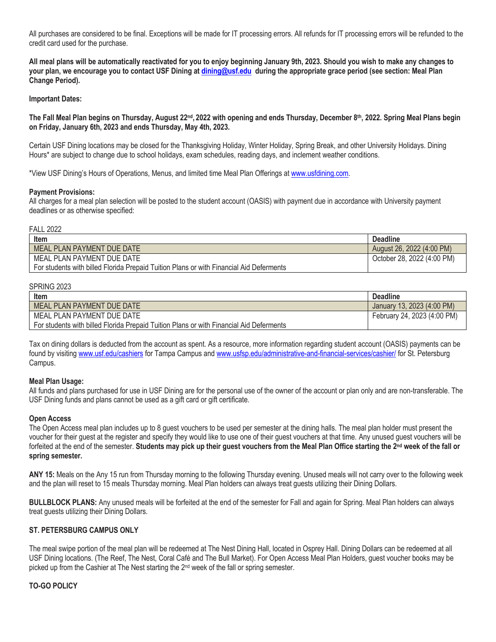All purchases are considered to be final. Exceptions will be made for IT processing errors. All refunds for IT processing errors will be refunded to the credit card used for the purchase.

**All meal plans will be automatically reactivated for you to enjoy beginning January 9th, 2023. Should you wish to make any changes to your plan, we encourage you to contact USF Dining at dining@usf.edu during the appropriate grace period (see section: Meal Plan Change Period).** 

## **Important Dates:**

**The Fall Meal Plan begins on Thursday, August 22nd, 2022 with opening and ends Thursday, December 8th, 2022. Spring Meal Plans begin on Friday, January 6th, 2023 and ends Thursday, May 4th, 2023.** 

Certain USF Dining locations may be closed for the Thanksgiving Holiday, Winter Holiday, Spring Break, and other University Holidays. Dining Hours\* are subject to change due to school holidays, exam schedules, reading days, and inclement weather conditions.

\*View USF Dining's Hours of Operations, Menus, and limited time Meal Plan Offerings at www.usfdining.com.

## **Payment Provisions:**

All charges for a meal plan selection will be posted to the student account (OASIS) with payment due in accordance with University payment deadlines or as otherwise specified:

### FALL 2022

| Item                                                                                    | <b>Deadline</b>            |
|-----------------------------------------------------------------------------------------|----------------------------|
| MEAL PLAN PAYMENT DUE DATE                                                              | August 26, 2022 (4:00 PM)  |
| MEAL PLAN PAYMENT DUE DATE                                                              | October 28, 2022 (4:00 PM) |
| For students with billed Florida Prepaid Tuition Plans or with Financial Aid Deferments |                            |

### SPRING 2023

| Item                                                                                    | <b>Deadline</b>             |
|-----------------------------------------------------------------------------------------|-----------------------------|
| MEAL PLAN PAYMENT DUE DATE                                                              | January 13, 2023 (4:00 PM)  |
| MEAL PLAN PAYMENT DUE DATE                                                              | February 24, 2023 (4:00 PM) |
| For students with billed Florida Prepaid Tuition Plans or with Financial Aid Deferments |                             |

Tax on dining dollars is deducted from the account as spent. As a resource, more information regarding student account (OASIS) payments can be found by visiting www.usf.edu/cashiers for Tampa Campus and www.usfsp.edu/administrative-and-financial-services/cashier/ for St. Petersburg Campus.

### **Meal Plan Usage:**

All funds and plans purchased for use in USF Dining are for the personal use of the owner of the account or plan only and are non-transferable. The USF Dining funds and plans cannot be used as a gift card or gift certificate.

### **Open Access**

The Open Access meal plan includes up to 8 guest vouchers to be used per semester at the dining halls. The meal plan holder must present the voucher for their guest at the register and specify they would like to use one of their guest vouchers at that time. Any unused guest vouchers will be forfeited at the end of the semester. **Students may pick up their guest vouchers from the Meal Plan Office starting the 2nd week of the fall or spring semester.** 

**ANY 15:** Meals on the Any 15 run from Thursday morning to the following Thursday evening. Unused meals will not carry over to the following week and the plan will reset to 15 meals Thursday morning. Meal Plan holders can always treat guests utilizing their Dining Dollars.

**BULLBLOCK PLANS:** Any unused meals will be forfeited at the end of the semester for Fall and again for Spring. Meal Plan holders can always treat guests utilizing their Dining Dollars.

## **ST. PETERSBURG CAMPUS ONLY**

The meal swipe portion of the meal plan will be redeemed at The Nest Dining Hall, located in Osprey Hall. Dining Dollars can be redeemed at all USF Dining locations. (The Reef, The Nest, Coral Café and The Bull Market). For Open Access Meal Plan Holders, guest voucher books may be picked up from the Cashier at The Nest starting the 2nd week of the fall or spring semester.

### **TO-GO POLICY**